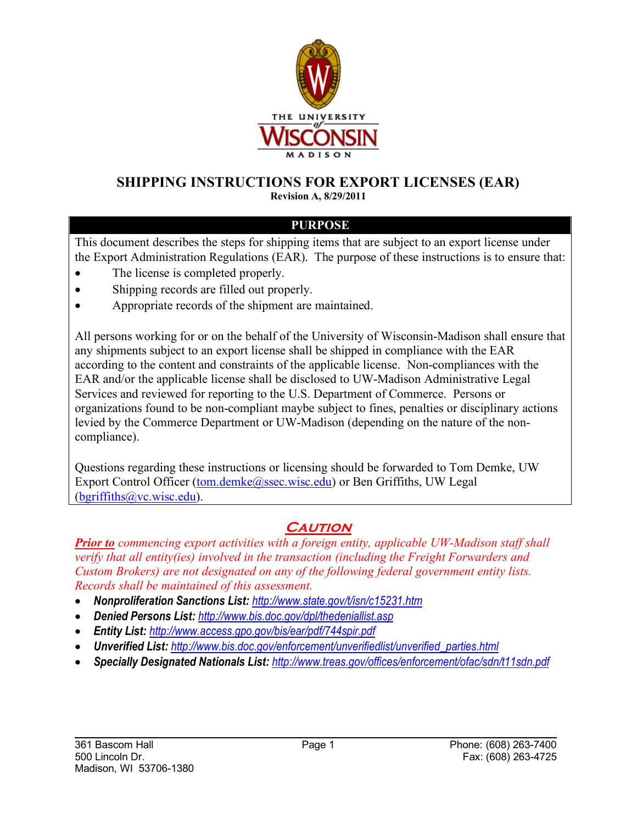

## **SHIPPING INSTRUCTIONS FOR EXPORT LICENSES (EAR)**

**Revision A, 8/29/2011**

## **PURPOSE**

This document describes the steps for shipping items that are subject to an export license under the Export Administration Regulations (EAR). The purpose of these instructions is to ensure that:

- The license is completed properly.
- Shipping records are filled out properly.
- Appropriate records of the shipment are maintained.

All persons working for or on the behalf of the University of Wisconsin-Madison shall ensure that any shipments subject to an export license shall be shipped in compliance with the EAR according to the content and constraints of the applicable license. Non-compliances with the EAR and/or the applicable license shall be disclosed to UW-Madison Administrative Legal Services and reviewed for reporting to the U.S. Department of Commerce. Persons or organizations found to be non-compliant maybe subject to fines, penalties or disciplinary actions levied by the Commerce Department or UW-Madison (depending on the nature of the noncompliance).

Questions regarding these instructions or licensing should be forwarded to Tom Demke, UW Export Control Officer (tom.demke@ssec.wisc.edu) or Ben Griffiths, UW Legal (bgriffiths@vc.wisc.edu).

## **CAUTION**

*Prior to commencing export activities with a foreign entity, applicable UW-Madison staff shall verify that all entity(ies) involved in the transaction (including the Freight Forwarders and Custom Brokers) are not designated on any of the following federal government entity lists. Records shall be maintained of this assessment.*

- *Nonproliferation Sanctions List: http://www.state.gov/t/isn/c15231.htm*
- *Denied Persons List: http://www.bis.doc.gov/dpl/thedeniallist.asp*
- *Entity List: http://www.access.gpo.gov/bis/ear/pdf/744spir.pdf*
- *Unverified List: http://www.bis.doc.gov/enforcement/unverifiedlist/unverified\_parties.html*
- *Specially Designated Nationals List: http://www.treas.gov/offices/enforcement/ofac/sdn/t11sdn.pdf*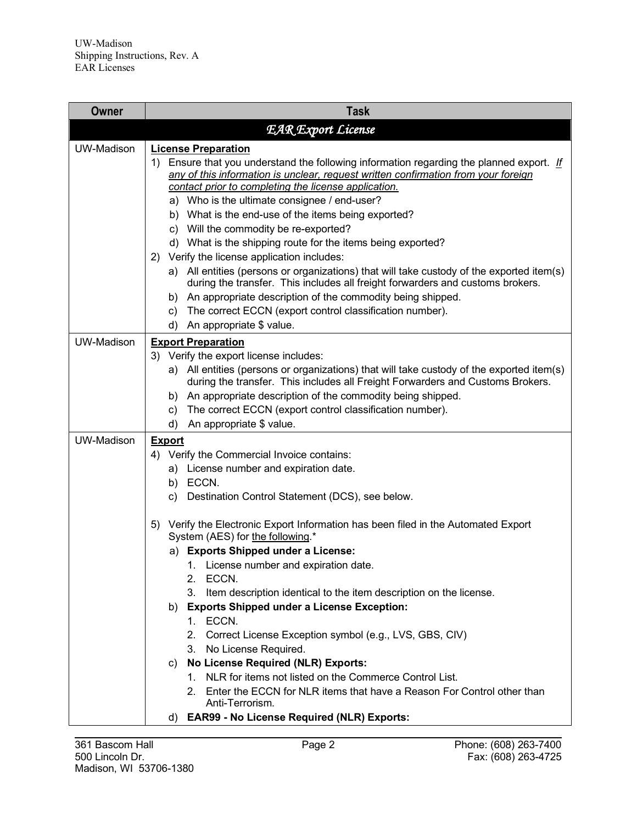| Owner             | <b>Task</b>                                                                                                                                                                                                                                                                                                                                                                                                                                                                                                                                                                                                                                                                                                                                                                                                                                                                            |
|-------------------|----------------------------------------------------------------------------------------------------------------------------------------------------------------------------------------------------------------------------------------------------------------------------------------------------------------------------------------------------------------------------------------------------------------------------------------------------------------------------------------------------------------------------------------------------------------------------------------------------------------------------------------------------------------------------------------------------------------------------------------------------------------------------------------------------------------------------------------------------------------------------------------|
|                   | <b>EAR Export License</b>                                                                                                                                                                                                                                                                                                                                                                                                                                                                                                                                                                                                                                                                                                                                                                                                                                                              |
| UW-Madison        | <b>License Preparation</b><br>1) Ensure that you understand the following information regarding the planned export. If<br>any of this information is unclear, request written confirmation from your foreign<br>contact prior to completing the license application.<br>a) Who is the ultimate consignee / end-user?<br>b) What is the end-use of the items being exported?<br>c) Will the commodity be re-exported?<br>d) What is the shipping route for the items being exported?<br>2) Verify the license application includes:<br>a) All entities (persons or organizations) that will take custody of the exported item(s)<br>during the transfer. This includes all freight forwarders and customs brokers.<br>b) An appropriate description of the commodity being shipped.<br>The correct ECCN (export control classification number).<br>C)<br>An appropriate \$ value.<br>d) |
| <b>UW-Madison</b> | <b>Export Preparation</b>                                                                                                                                                                                                                                                                                                                                                                                                                                                                                                                                                                                                                                                                                                                                                                                                                                                              |
|                   | 3) Verify the export license includes:<br>a) All entities (persons or organizations) that will take custody of the exported item(s)<br>during the transfer. This includes all Freight Forwarders and Customs Brokers.<br>b) An appropriate description of the commodity being shipped.<br>The correct ECCN (export control classification number).<br>C)<br>An appropriate \$ value.<br>d)                                                                                                                                                                                                                                                                                                                                                                                                                                                                                             |
| <b>UW-Madison</b> | <b>Export</b>                                                                                                                                                                                                                                                                                                                                                                                                                                                                                                                                                                                                                                                                                                                                                                                                                                                                          |
|                   | 4) Verify the Commercial Invoice contains:<br>a) License number and expiration date.<br>b) ECCN.<br>Destination Control Statement (DCS), see below.<br>C)                                                                                                                                                                                                                                                                                                                                                                                                                                                                                                                                                                                                                                                                                                                              |
|                   | 5) Verify the Electronic Export Information has been filed in the Automated Export<br>System (AES) for the following.*<br>a) Exports Shipped under a License:<br>1. License number and expiration date.<br>2. ECCN.<br>3.<br>Item description identical to the item description on the license.<br><b>Exports Shipped under a License Exception:</b><br>b)<br>1. ECCN.<br>2. Correct License Exception symbol (e.g., LVS, GBS, CIV)<br>3. No License Required.<br>No License Required (NLR) Exports:<br>C)<br>NLR for items not listed on the Commerce Control List.<br>1.<br>Enter the ECCN for NLR items that have a Reason For Control other than<br>2.<br>Anti-Terrorism.<br>d) EAR99 - No License Required (NLR) Exports:                                                                                                                                                         |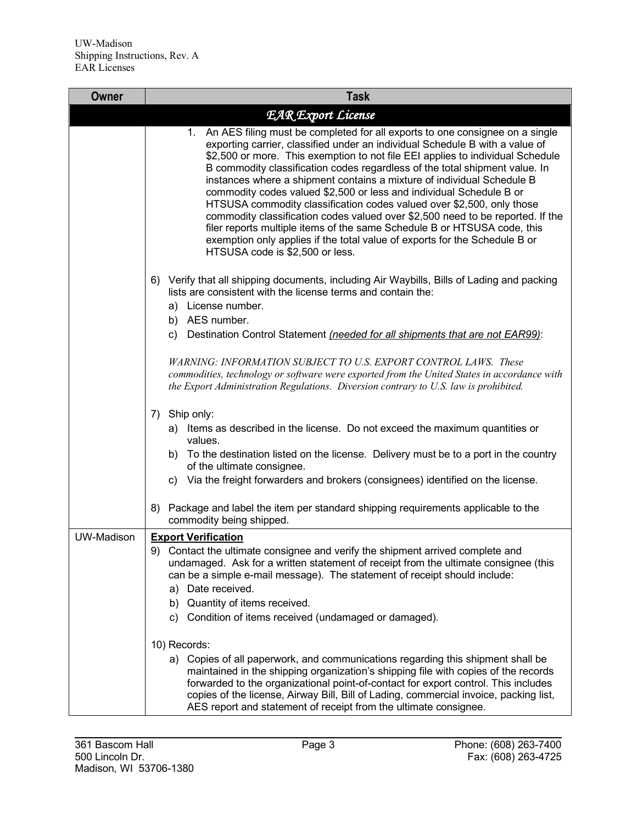| Owner             | <b>Task</b>                                                                                                                                                                                                                                                                                                                                                                                                                                                                                                                                                                                                                                                                                                                                                                                                                                  |
|-------------------|----------------------------------------------------------------------------------------------------------------------------------------------------------------------------------------------------------------------------------------------------------------------------------------------------------------------------------------------------------------------------------------------------------------------------------------------------------------------------------------------------------------------------------------------------------------------------------------------------------------------------------------------------------------------------------------------------------------------------------------------------------------------------------------------------------------------------------------------|
|                   | <b>EAR</b> Export License                                                                                                                                                                                                                                                                                                                                                                                                                                                                                                                                                                                                                                                                                                                                                                                                                    |
|                   | An AES filing must be completed for all exports to one consignee on a single<br>1.<br>exporting carrier, classified under an individual Schedule B with a value of<br>\$2,500 or more. This exemption to not file EEI applies to individual Schedule<br>B commodity classification codes regardless of the total shipment value. In<br>instances where a shipment contains a mixture of individual Schedule B<br>commodity codes valued \$2,500 or less and individual Schedule B or<br>HTSUSA commodity classification codes valued over \$2,500, only those<br>commodity classification codes valued over \$2,500 need to be reported. If the<br>filer reports multiple items of the same Schedule B or HTSUSA code, this<br>exemption only applies if the total value of exports for the Schedule B or<br>HTSUSA code is \$2,500 or less. |
|                   | 6) Verify that all shipping documents, including Air Waybills, Bills of Lading and packing<br>lists are consistent with the license terms and contain the:<br>a) License number.<br>b) AES number.                                                                                                                                                                                                                                                                                                                                                                                                                                                                                                                                                                                                                                           |
|                   | c) Destination Control Statement (needed for all shipments that are not EAR99):                                                                                                                                                                                                                                                                                                                                                                                                                                                                                                                                                                                                                                                                                                                                                              |
|                   | WARNING: INFORMATION SUBJECT TO U.S. EXPORT CONTROL LAWS. These<br>commodities, technology or software were exported from the United States in accordance with<br>the Export Administration Regulations. Diversion contrary to U.S. law is prohibited.                                                                                                                                                                                                                                                                                                                                                                                                                                                                                                                                                                                       |
|                   | Ship only:<br>7)<br>a) Items as described in the license. Do not exceed the maximum quantities or<br>values.<br>b) To the destination listed on the license. Delivery must be to a port in the country<br>of the ultimate consignee.<br>c) Via the freight forwarders and brokers (consignees) identified on the license.                                                                                                                                                                                                                                                                                                                                                                                                                                                                                                                    |
|                   | 8) Package and label the item per standard shipping requirements applicable to the<br>commodity being shipped.                                                                                                                                                                                                                                                                                                                                                                                                                                                                                                                                                                                                                                                                                                                               |
| <b>UW-Madison</b> | <b>Export Verification</b><br>9) Contact the ultimate consignee and verify the shipment arrived complete and<br>undamaged. Ask for a written statement of receipt from the ultimate consignee (this<br>can be a simple e-mail message). The statement of receipt should include:<br>a) Date received.<br>b) Quantity of items received.<br>c) Condition of items received (undamaged or damaged).                                                                                                                                                                                                                                                                                                                                                                                                                                            |
|                   | 10) Records:<br>a) Copies of all paperwork, and communications regarding this shipment shall be<br>maintained in the shipping organization's shipping file with copies of the records<br>forwarded to the organizational point-of-contact for export control. This includes<br>copies of the license, Airway Bill, Bill of Lading, commercial invoice, packing list,<br>AES report and statement of receipt from the ultimate consignee.                                                                                                                                                                                                                                                                                                                                                                                                     |